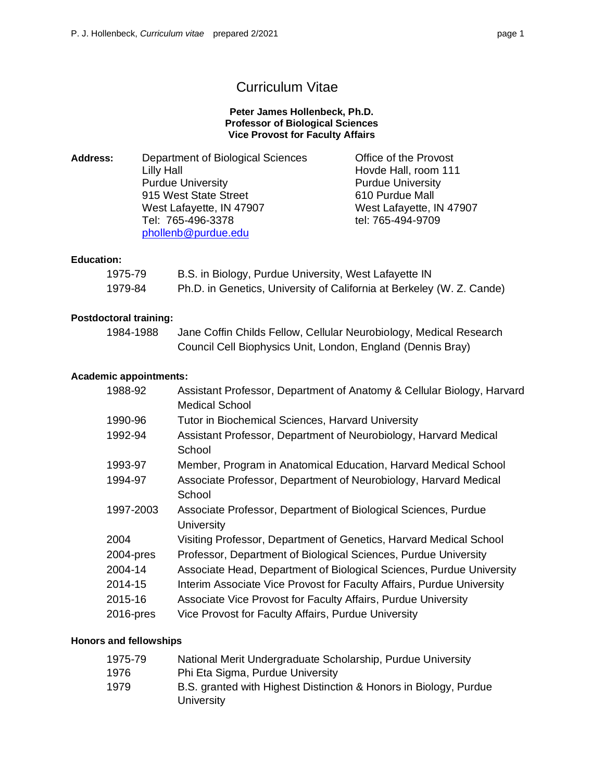# Curriculum Vitae

#### **Peter James Hollenbeck, Ph.D. Professor of Biological Sciences Vice Provost for Faculty Affairs**

| <b>Address:</b> | Department of Biological Sciences | Office of the Provost    |
|-----------------|-----------------------------------|--------------------------|
|                 | Lilly Hall                        | Hovde Hall, room 111     |
|                 | <b>Purdue University</b>          | <b>Purdue University</b> |
|                 | 915 West State Street             | 610 Purdue Mall          |
|                 | West Lafayette, IN 47907          | West Lafayette, IN 47907 |
|                 | Tel: 765-496-3378                 | tel: 765-494-9709        |
|                 | phollenb@purdue.edu               |                          |

#### **Education:**

| 1975-79 | B.S. in Biology, Purdue University, West Lafayette IN                 |
|---------|-----------------------------------------------------------------------|
| 1979-84 | Ph.D. in Genetics, University of California at Berkeley (W. Z. Cande) |

### **Postdoctoral training:**

| 1984-1988 | Jane Coffin Childs Fellow, Cellular Neurobiology, Medical Research |
|-----------|--------------------------------------------------------------------|
|           | Council Cell Biophysics Unit, London, England (Dennis Bray)        |

#### **Academic appointments:**

| 1988-92   | Assistant Professor, Department of Anatomy & Cellular Biology, Harvard<br><b>Medical School</b> |
|-----------|-------------------------------------------------------------------------------------------------|
|           |                                                                                                 |
| 1990-96   | <b>Tutor in Biochemical Sciences, Harvard University</b>                                        |
| 1992-94   | Assistant Professor, Department of Neurobiology, Harvard Medical                                |
|           | School                                                                                          |
| 1993-97   | Member, Program in Anatomical Education, Harvard Medical School                                 |
| 1994-97   | Associate Professor, Department of Neurobiology, Harvard Medical                                |
|           | School                                                                                          |
| 1997-2003 | Associate Professor, Department of Biological Sciences, Purdue                                  |
|           | <b>University</b>                                                                               |
| 2004      | Visiting Professor, Department of Genetics, Harvard Medical School                              |
| 2004-pres | Professor, Department of Biological Sciences, Purdue University                                 |
| 2004-14   | Associate Head, Department of Biological Sciences, Purdue University                            |
| 2014-15   | Interim Associate Vice Provost for Faculty Affairs, Purdue University                           |
| 2015-16   | Associate Vice Provost for Faculty Affairs, Purdue University                                   |
| 2016-pres | Vice Provost for Faculty Affairs, Purdue University                                             |
|           |                                                                                                 |

#### **Honors and fellowships**

| 1975-79 | National Merit Undergraduate Scholarship, Purdue University                     |
|---------|---------------------------------------------------------------------------------|
| 1976    | Phi Eta Sigma, Purdue University                                                |
| 1979    | B.S. granted with Highest Distinction & Honors in Biology, Purdue<br>University |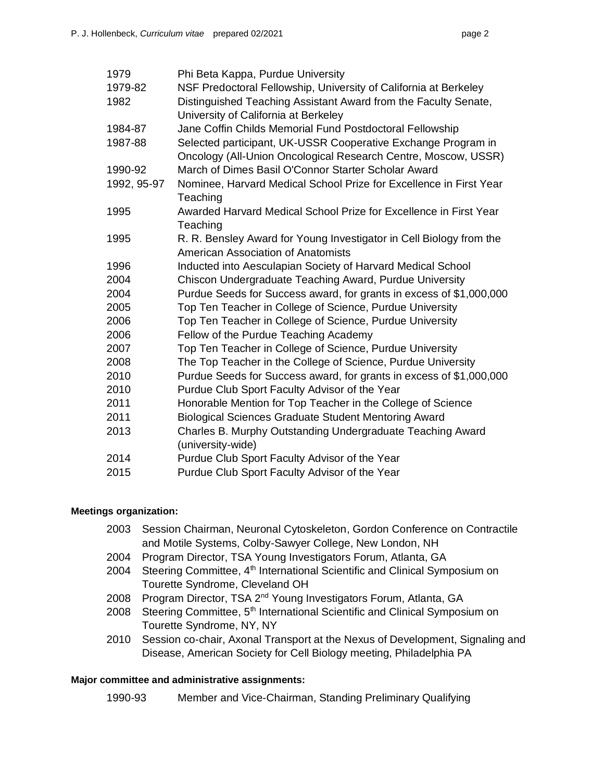|--|--|

| Phi Beta Kappa, Purdue University                                                                                               |
|---------------------------------------------------------------------------------------------------------------------------------|
| NSF Predoctoral Fellowship, University of California at Berkeley                                                                |
| Distinguished Teaching Assistant Award from the Faculty Senate,                                                                 |
| University of California at Berkeley                                                                                            |
| Jane Coffin Childs Memorial Fund Postdoctoral Fellowship                                                                        |
| Selected participant, UK-USSR Cooperative Exchange Program in<br>Oncology (All-Union Oncological Research Centre, Moscow, USSR) |
| March of Dimes Basil O'Connor Starter Scholar Award                                                                             |
| Nominee, Harvard Medical School Prize for Excellence in First Year<br>Teaching                                                  |
| Awarded Harvard Medical School Prize for Excellence in First Year<br>Teaching                                                   |
| R. R. Bensley Award for Young Investigator in Cell Biology from the<br><b>American Association of Anatomists</b>                |
|                                                                                                                                 |
| Inducted into Aesculapian Society of Harvard Medical School                                                                     |
| Chiscon Undergraduate Teaching Award, Purdue University                                                                         |
| Purdue Seeds for Success award, for grants in excess of \$1,000,000                                                             |
| Top Ten Teacher in College of Science, Purdue University                                                                        |
| Top Ten Teacher in College of Science, Purdue University                                                                        |
| Fellow of the Purdue Teaching Academy                                                                                           |
| Top Ten Teacher in College of Science, Purdue University                                                                        |
| The Top Teacher in the College of Science, Purdue University                                                                    |
| Purdue Seeds for Success award, for grants in excess of \$1,000,000                                                             |
| Purdue Club Sport Faculty Advisor of the Year                                                                                   |
| Honorable Mention for Top Teacher in the College of Science                                                                     |
| <b>Biological Sciences Graduate Student Mentoring Award</b>                                                                     |
| Charles B. Murphy Outstanding Undergraduate Teaching Award<br>(university-wide)                                                 |
| Purdue Club Sport Faculty Advisor of the Year                                                                                   |
| Purdue Club Sport Faculty Advisor of the Year                                                                                   |
|                                                                                                                                 |

## **Meetings organization:**

- 2003 Session Chairman, Neuronal Cytoskeleton, Gordon Conference on Contractile and Motile Systems, Colby-Sawyer College, New London, NH
- 2004 Program Director, TSA Young Investigators Forum, Atlanta, GA
- 2004 Steering Committee, 4<sup>th</sup> International Scientific and Clinical Symposium on Tourette Syndrome, Cleveland OH
- 2008 Program Director, TSA 2<sup>nd</sup> Young Investigators Forum, Atlanta, GA
- 2008 Steering Committee, 5<sup>th</sup> International Scientific and Clinical Symposium on Tourette Syndrome, NY, NY
- 2010 Session co-chair, Axonal Transport at the Nexus of Development, Signaling and Disease, American Society for Cell Biology meeting, Philadelphia PA

## **Major committee and administrative assignments:**

1990-93 Member and Vice-Chairman, Standing Preliminary Qualifying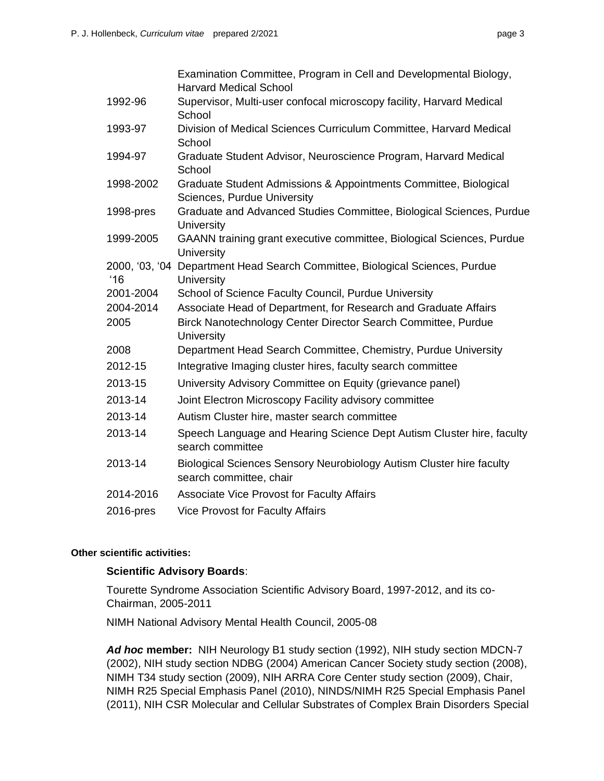|              | Examination Committee, Program in Cell and Developmental Biology,<br><b>Harvard Medical School</b> |
|--------------|----------------------------------------------------------------------------------------------------|
| 1992-96      | Supervisor, Multi-user confocal microscopy facility, Harvard Medical<br>School                     |
| 1993-97      | Division of Medical Sciences Curriculum Committee, Harvard Medical<br>School                       |
| 1994-97      | Graduate Student Advisor, Neuroscience Program, Harvard Medical<br>School                          |
| 1998-2002    | Graduate Student Admissions & Appointments Committee, Biological<br>Sciences, Purdue University    |
| 1998-pres    | Graduate and Advanced Studies Committee, Biological Sciences, Purdue<br>University                 |
| 1999-2005    | GAANN training grant executive committee, Biological Sciences, Purdue<br>University                |
| $^{\circ}16$ | 2000, '03, '04 Department Head Search Committee, Biological Sciences, Purdue<br>University         |
| 2001-2004    | School of Science Faculty Council, Purdue University                                               |
| 2004-2014    | Associate Head of Department, for Research and Graduate Affairs                                    |
| 2005         | Birck Nanotechnology Center Director Search Committee, Purdue<br>University                        |
| 2008         | Department Head Search Committee, Chemistry, Purdue University                                     |
| 2012-15      | Integrative Imaging cluster hires, faculty search committee                                        |
| 2013-15      | University Advisory Committee on Equity (grievance panel)                                          |
| 2013-14      | Joint Electron Microscopy Facility advisory committee                                              |
| 2013-14      | Autism Cluster hire, master search committee                                                       |
| 2013-14      | Speech Language and Hearing Science Dept Autism Cluster hire, faculty<br>search committee          |
| 2013-14      | Biological Sciences Sensory Neurobiology Autism Cluster hire faculty<br>search committee, chair    |
| 2014-2016    | <b>Associate Vice Provost for Faculty Affairs</b>                                                  |
| 2016-pres    | <b>Vice Provost for Faculty Affairs</b>                                                            |
|              |                                                                                                    |

#### **Other scientific activities:**

#### **Scientific Advisory Boards**:

 Tourette Syndrome Association Scientific Advisory Board, 1997-2012, and its co-Chairman, 2005-2011

NIMH National Advisory Mental Health Council, 2005-08

 *Ad hoc* **member:** NIH Neurology B1 study section (1992), NIH study section MDCN-7 (2002), NIH study section NDBG (2004) American Cancer Society study section (2008), NIMH T34 study section (2009), NIH ARRA Core Center study section (2009), Chair, NIMH R25 Special Emphasis Panel (2010), NINDS/NIMH R25 Special Emphasis Panel (2011), NIH CSR Molecular and Cellular Substrates of Complex Brain Disorders Special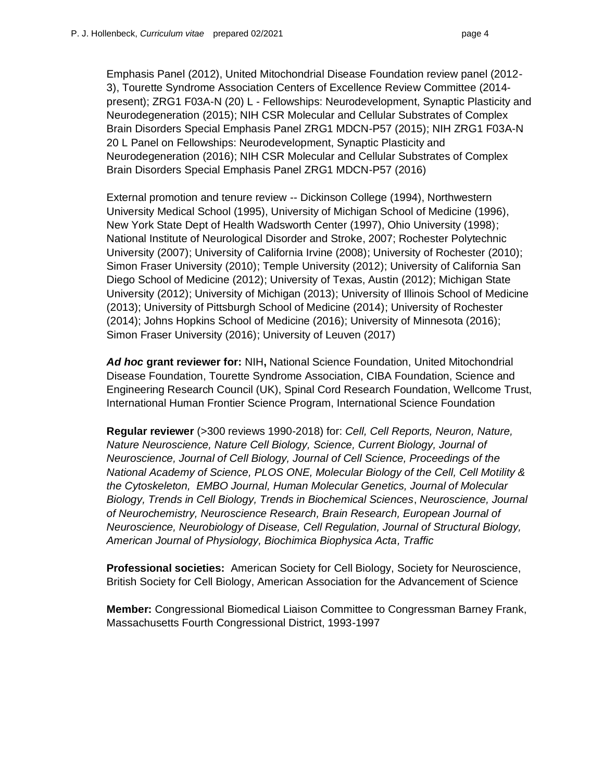Emphasis Panel (2012), United Mitochondrial Disease Foundation review panel (2012- 3), Tourette Syndrome Association Centers of Excellence Review Committee (2014- present); ZRG1 F03A-N (20) L - Fellowships: Neurodevelopment, Synaptic Plasticity and Neurodegeneration (2015); NIH CSR Molecular and Cellular Substrates of Complex Brain Disorders Special Emphasis Panel ZRG1 MDCN-P57 (2015); NIH ZRG1 F03A-N 20 L Panel on Fellowships: Neurodevelopment, Synaptic Plasticity and Neurodegeneration (2016); NIH CSR Molecular and Cellular Substrates of Complex Brain Disorders Special Emphasis Panel ZRG1 MDCN-P57 (2016)

 External promotion and tenure review -- Dickinson College (1994), Northwestern University Medical School (1995), University of Michigan School of Medicine (1996), New York State Dept of Health Wadsworth Center (1997), Ohio University (1998); National Institute of Neurological Disorder and Stroke, 2007; Rochester Polytechnic University (2007); University of California Irvine (2008); University of Rochester (2010); Simon Fraser University (2010); Temple University (2012); University of California San Diego School of Medicine (2012); University of Texas, Austin (2012); Michigan State University (2012); University of Michigan (2013); University of Illinois School of Medicine (2013); University of Pittsburgh School of Medicine (2014); University of Rochester (2014); Johns Hopkins School of Medicine (2016); University of Minnesota (2016); Simon Fraser University (2016); University of Leuven (2017)

 *Ad hoc* **grant reviewer for:** NIH**,** National Science Foundation, United Mitochondrial Disease Foundation, Tourette Syndrome Association, CIBA Foundation, Science and Engineering Research Council (UK), Spinal Cord Research Foundation, Wellcome Trust, International Human Frontier Science Program, International Science Foundation

 **Regular reviewer** (>300 reviews 1990-2018) for: *Cell, Cell Reports, Neuron, Nature, Nature Neuroscience, Nature Cell Biology, Science, Current Biology, Journal of Neuroscience, Journal of Cell Biology, Journal of Cell Science, Proceedings of the National Academy of Science, PLOS ONE, Molecular Biology of the Cell, Cell Motility & the Cytoskeleton, EMBO Journal, Human Molecular Genetics, Journal of Molecular Biology, Trends in Cell Biology, Trends in Biochemical Sciences*, *Neuroscience, Journal of Neurochemistry, Neuroscience Research, Brain Research, European Journal of Neuroscience, Neurobiology of Disease, Cell Regulation, Journal of Structural Biology, American Journal of Physiology, Biochimica Biophysica Acta, Traffic* 

 **Professional societies:** American Society for Cell Biology, Society for Neuroscience, British Society for Cell Biology, American Association for the Advancement of Science

 **Member:** Congressional Biomedical Liaison Committee to Congressman Barney Frank, Massachusetts Fourth Congressional District, 1993-1997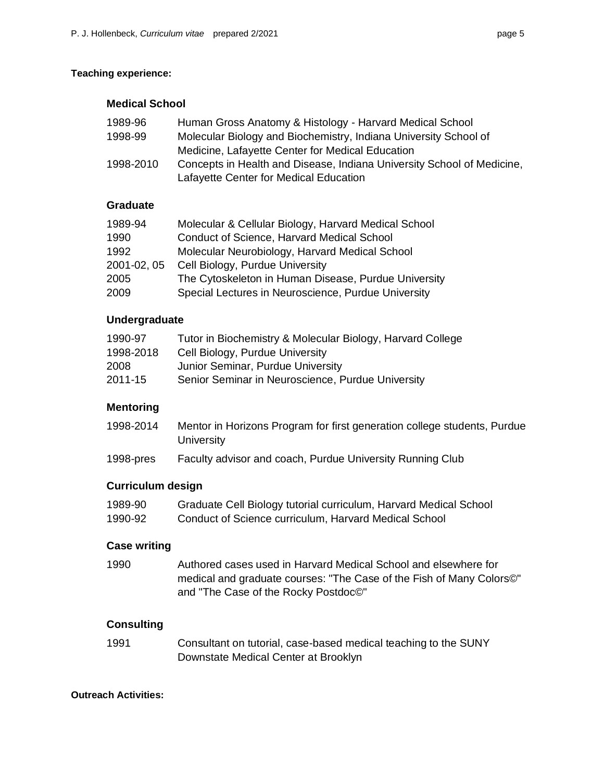### **Teaching experience:**

## **Medical School**

| 1989-96   | Human Gross Anatomy & Histology - Harvard Medical School               |
|-----------|------------------------------------------------------------------------|
| 1998-99   | Molecular Biology and Biochemistry, Indiana University School of       |
|           | Medicine, Lafayette Center for Medical Education                       |
| 1998-2010 | Concepts in Health and Disease, Indiana University School of Medicine, |
|           | Lafayette Center for Medical Education                                 |

## **Graduate**

| 1989-94     | Molecular & Cellular Biology, Harvard Medical School |
|-------------|------------------------------------------------------|
| 1990        | <b>Conduct of Science, Harvard Medical School</b>    |
| 1992        | Molecular Neurobiology, Harvard Medical School       |
| 2001-02, 05 | Cell Biology, Purdue University                      |
| 2005        | The Cytoskeleton in Human Disease, Purdue University |
| 2009        | Special Lectures in Neuroscience, Purdue University  |

## **Undergraduate**

| 1990-97   | Tutor in Biochemistry & Molecular Biology, Harvard College |
|-----------|------------------------------------------------------------|
| 1998-2018 | Cell Biology, Purdue University                            |
| 2008      | Junior Seminar, Purdue University                          |
| 2011-15   | Senior Seminar in Neuroscience, Purdue University          |

## **Mentoring**

| 1998-2014 | Mentor in Horizons Program for first generation college students, Purdue |
|-----------|--------------------------------------------------------------------------|
|           | University                                                               |

1998-pres Faculty advisor and coach, Purdue University Running Club

#### **Curriculum design**

| 1989-90 | Graduate Cell Biology tutorial curriculum, Harvard Medical School |
|---------|-------------------------------------------------------------------|
| 1990-92 | Conduct of Science curriculum, Harvard Medical School             |

#### **Case writing**

 Authored cases used in Harvard Medical School and elsewhere for medical and graduate courses: "The Case of the Fish of Many Colors©" and "The Case of the Rocky Postdoc©" 1990

## **Consulting**

 Consultant on tutorial, case-based medical teaching to the SUNY Downstate Medical Center at Brooklyn 1991

#### **Outreach Activities:**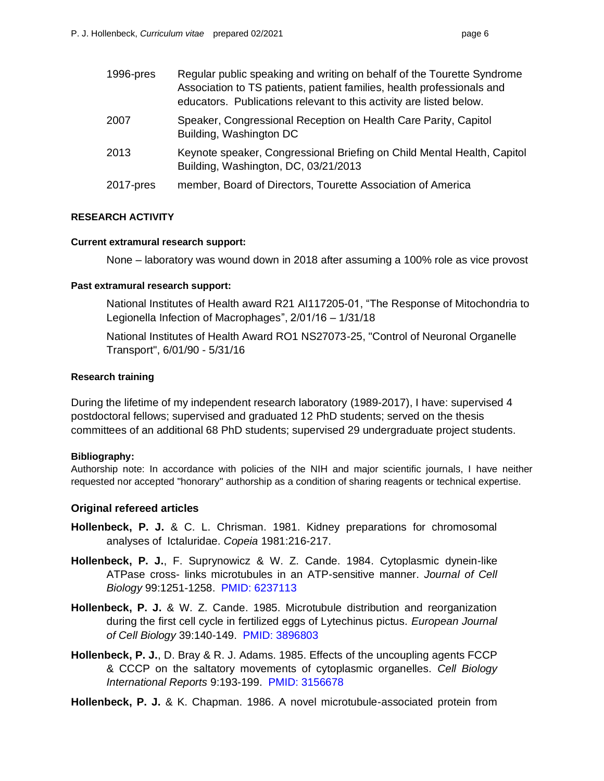| 1996-pres | Regular public speaking and writing on behalf of the Tourette Syndrome<br>Association to TS patients, patient families, health professionals and<br>educators. Publications relevant to this activity are listed below. |
|-----------|-------------------------------------------------------------------------------------------------------------------------------------------------------------------------------------------------------------------------|
| 2007      | Speaker, Congressional Reception on Health Care Parity, Capitol<br>Building, Washington DC                                                                                                                              |
| 2013      | Keynote speaker, Congressional Briefing on Child Mental Health, Capitol<br>Building, Washington, DC, 03/21/2013                                                                                                         |
| 2017-pres | member, Board of Directors, Tourette Association of America                                                                                                                                                             |

#### **RESEARCH ACTIVITY**

#### **Current extramural research support:**

None – laboratory was wound down in 2018 after assuming a 100% role as vice provost

#### **Past extramural research support:**

 National Institutes of Health award R21 AI117205-01, "The Response of Mitochondria to Legionella Infection of Macrophages", 2/01/16 – 1/31/18

 National Institutes of Health Award RO1 NS27073-25, "Control of Neuronal Organelle Transport", 6/01/90 - 5/31/16

#### **Research training**

 During the lifetime of my independent research laboratory (1989-2017), I have: supervised 4 postdoctoral fellows; supervised and graduated 12 PhD students; served on the thesis committees of an additional 68 PhD students; supervised 29 undergraduate project students.

#### **Bibliography:**

 Authorship note: In accordance with policies of the NIH and major scientific journals, I have neither requested nor accepted "honorary" authorship as a condition of sharing reagents or technical expertise.

#### **Original refereed articles**

- **Hollenbeck, P. J.** & C. L. Chrisman. 1981. Kidney preparations for chromosomal analyses of Ictaluridae. *Copeia* 1981:216-217.
- **Hollenbeck, P. J.**, F. Suprynowicz & W. Z. Cande. 1984. Cytoplasmic dynein-like ATPase cross- links microtubules in an ATP-sensitive manner. *Journal of Cell Biology* 99:1251-1258. PMID: 6237113
- **Hollenbeck, P. J.** & W. Z. Cande. 1985. Microtubule distribution and reorganization during the first cell cycle in fertilized eggs of Lytechinus pictus. *European Journal of Cell Biology* 39:140-149. PMID: 3896803
- **Hollenbeck, P. J.**, D. Bray & R. J. Adams. 1985. Effects of the uncoupling agents FCCP & CCCP on the saltatory movements of cytoplasmic organelles. *Cell Biology International Reports* 9:193-199. PMID: 3156678

 **Hollenbeck, P. J.** & K. Chapman. 1986. A novel microtubule-associated protein from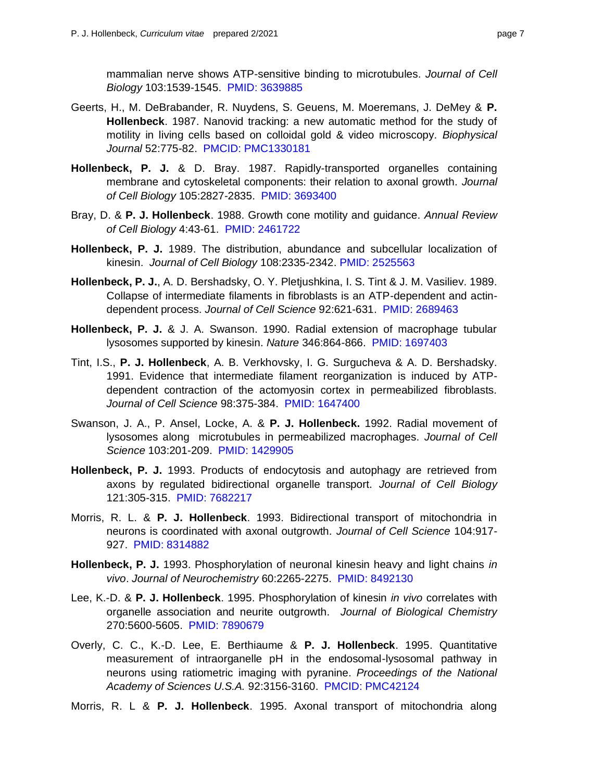mammalian nerve shows ATP-sensitive binding to microtubules. *Journal of Cell Biology* 103:1539-1545. PMID: 3639885

- Geerts, H., M. DeBrabander, R. Nuydens, S. Geuens, M. Moeremans, J. DeMey & **P. Hollenbeck**. 1987. Nanovid tracking: a new automatic method for the study of motility in living cells based on colloidal gold & video microscopy. *Biophysical Journal* 52:775-82. PMCID: PMC1330181
- **Hollenbeck, P. J.** & D. Bray. 1987. Rapidly-transported organelles containing membrane and cytoskeletal components: their relation to axonal growth. *Journal of Cell Biology* 105:2827-2835. PMID: 3693400
- Bray, D. & **P. J. Hollenbeck**. 1988. Growth cone motility and guidance. *Annual Review of Cell Biology* 4:43-61. PMID: 2461722
- **Hollenbeck, P. J.** 1989. The distribution, abundance and subcellular localization of kinesin. *Journal of Cell Biology* 108:2335-2342. PMID: 2525563
- **Hollenbeck, P. J.**, A. D. Bershadsky, O. Y. Pletjushkina, I. S. Tint & J. M. Vasiliev. 1989. Collapse of intermediate filaments in fibroblasts is an ATP-dependent and actin-dependent process. *Journal of Cell Science* 92:621-631. PMID: 2689463
- **Hollenbeck, P. J.** & J. A. Swanson. 1990. Radial extension of macrophage tubular lysosomes supported by kinesin. *Nature* 346:864-866. PMID: 1697403
- Tint, I.S., **P. J. Hollenbeck**, A. B. Verkhovsky, I. G. Surgucheva & A. D. Bershadsky. 1991. Evidence that intermediate filament reorganization is induced by ATP- dependent contraction of the actomyosin cortex in permeabilized fibroblasts.  *Journal of Cell Science* 98:375-384. PMID: 1647400
- Swanson, J. A., P. Ansel, Locke, A. & **P. J. Hollenbeck.** 1992. Radial movement of lysosomes along microtubules in permeabilized macrophages. *Journal of Cell Science* 103:201-209. PMID: 1429905
- **Hollenbeck, P. J.** 1993. Products of endocytosis and autophagy are retrieved from axons by regulated bidirectional organelle transport. *Journal of Cell Biology*  121:305-315. PMID: 7682217
- Morris, R. L. & **P. J. Hollenbeck**. 1993. Bidirectional transport of mitochondria in neurons is coordinated with axonal outgrowth. *Journal of Cell Science* 104:917- 927. PMID: 8314882
- **Hollenbeck, P. J.** 1993. Phosphorylation of neuronal kinesin heavy and light chains *in vivo*. *Journal of Neurochemistry* 60:2265-2275. PMID: 8492130
- Lee, K.-D. & **P. J. Hollenbeck**. 1995. Phosphorylation of kinesin *in vivo* correlates with organelle association and neurite outgrowth. *Journal of Biological Chemistry*  270:5600-5605. PMID: 7890679
- Overly, C. C., K.-D. Lee, E. Berthiaume & **P. J. Hollenbeck**. 1995. Quantitative measurement of intraorganelle pH in the endosomal-lysosomal pathway in neurons using ratiometric imaging with pyranine. *Proceedings of the National Academy of Sciences U.S.A.* 92:3156-3160. PMCID: PMC42124
- Morris, R. L & **P. J. Hollenbeck**. 1995. Axonal transport of mitochondria along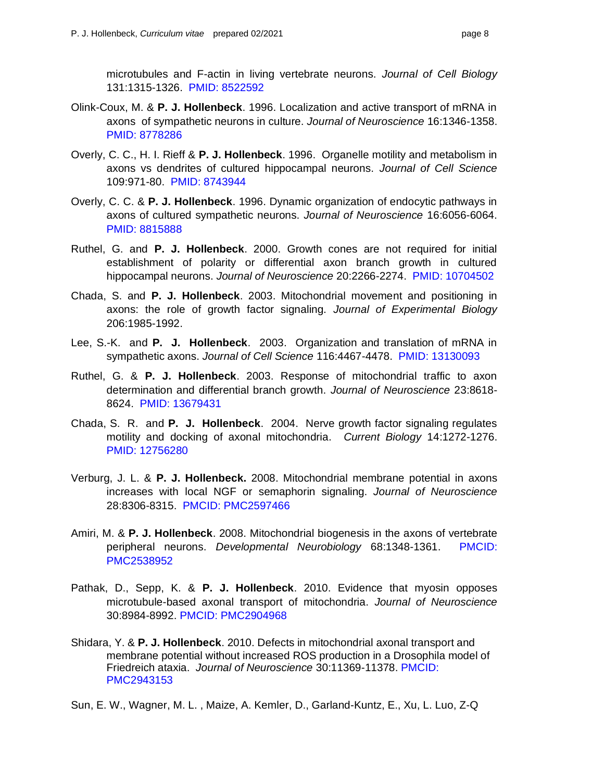microtubules and F-actin in living vertebrate neurons. *Journal of Cell Biology*  131:1315-1326. PMID: 8522592

- Olink-Coux, M. & **P. J. Hollenbeck**. 1996. Localization and active transport of mRNA in axons of sympathetic neurons in culture. *Journal of Neuroscience* 16:1346-1358. PMID: 8778286
- Overly, C. C., H. I. Rieff & **P. J. Hollenbeck**. 1996. Organelle motility and metabolism in axons vs dendrites of cultured hippocampal neurons. *Journal of Cell Science*  109:971-80. PMID: 8743944
- Overly, C. C. & **P. J. Hollenbeck**. 1996. Dynamic organization of endocytic pathways in axons of cultured sympathetic neurons. *Journal of Neuroscience* 16:6056-6064. PMID: 8815888
- Ruthel, G. and **P. J. Hollenbeck**. 2000. Growth cones are not required for initial establishment of polarity or differential axon branch growth in cultured hippocampal neurons. *Journal of Neuroscience* 20:2266-2274. PMID: 10704502
- Chada, S. and **P. J. Hollenbeck**. 2003. Mitochondrial movement and positioning in axons: the role of growth factor signaling. *Journal of Experimental Biology*  206:1985-1992.
- 206:1985-1992. Lee, S.-K. and **P. J. Hollenbeck**. 2003. Organization and translation of mRNA in  sympathetic axons. *Journal of Cell Science* 116:4467-4478. PMID: 13130093
- Ruthel, G. & **P. J. Hollenbeck**. 2003. Response of mitochondrial traffic to axon determination and differential branch growth. *Journal of Neuroscience* 23:8618- 8624. PMID: 13679431
- Chada, S. R. and **P. J. Hollenbeck**. 2004. Nerve growth factor signaling regulates motility and docking of axonal mitochondria. *Current Biology* 14:1272-1276. PMID: 12756280
- Verburg, J. L. & **P. J. Hollenbeck.** 2008. Mitochondrial membrane potential in axons increases with local NGF or semaphorin signaling. *Journal of Neuroscience*  28:8306-8315. PMCID: PMC2597466
- Amiri, M. & **P. J. Hollenbeck**. 2008. Mitochondrial biogenesis in the axons of vertebrate peripheral neurons. *Developmental Neurobiology* 68:1348-1361. PMCID: PMC2538952
- Pathak, D., Sepp, K. & **P. J. Hollenbeck**. 2010. Evidence that myosin opposes microtubule-based axonal transport of mitochondria. *Journal of Neuroscience*  30:8984-8992. PMCID: PMC2904968
- Shidara, Y. & **P. J. Hollenbeck**. 2010. Defects in mitochondrial axonal transport and membrane potential without increased ROS production in a Drosophila model of Friedreich ataxia. *Journal of Neuroscience* 30:11369-11378. PMCID: PMC2943153
- Sun, E. W., Wagner, M. L. , Maize, A. Kemler, D., Garland-Kuntz, E., Xu, L. Luo, Z-Q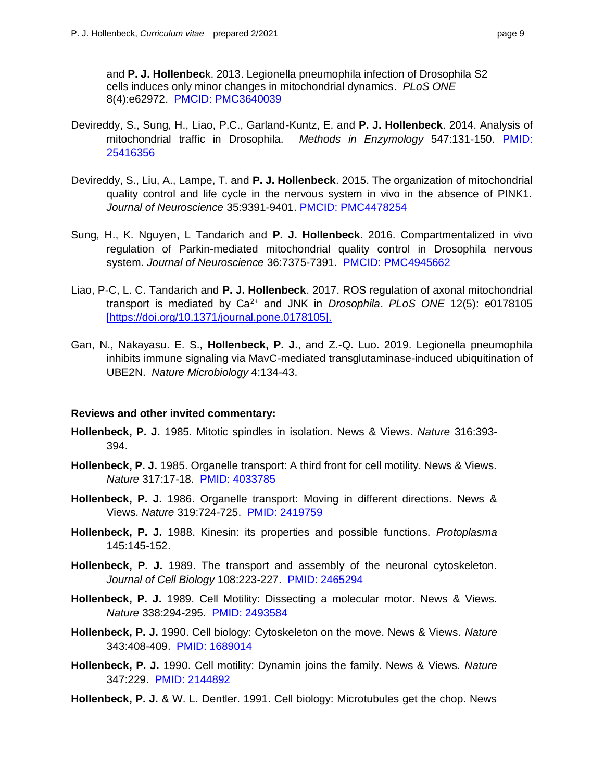and **P. J. Hollenbec**k. 2013. Legionella pneumophila infection of Drosophila S2 cells induces only minor changes in mitochondrial dynamics. *PLoS ONE* 

8(4):e62972. PMCID: PMC3640039

- Devireddy, S., Sung, H., Liao, P.C., Garland-Kuntz, E. and **P. J. Hollenbeck**. 2014. Analysis of mitochondrial traffic in Drosophila. *Methods in Enzymology* 547:131-150. PMID: 25416356
- Devireddy, S., Liu, A., Lampe, T. and **P. J. Hollenbeck**. 2015. The organization of mitochondrial quality control and life cycle in the nervous system in vivo in the absence of PINK1.  *Journal of Neuroscience* 35:9391-9401. PMCID: PMC4478254
- Sung, H., K. Nguyen, L Tandarich and **P. J. Hollenbeck**. 2016. Compartmentalized in vivo regulation of Parkin-mediated mitochondrial quality control in Drosophila nervous  system. *Journal of Neuroscience* 36:7375-7391. PMCID: PMC4945662
- Liao, P-C, L. C. Tandarich and **P. J. Hollenbeck**. 2017. ROS regulation of axonal mitochondrial transport is mediated by Ca2+ and JNK in *Drosophila*. *PLoS ONE* 12(5): e0178105 [\[https://doi.org/10.1371/journal.pone.0178105\].](https://doi.org/10.1371/journal.pone.0178105)
- Gan, N., Nakayasu. E. S., **Hollenbeck, P. J.**, and Z.-Q. Luo. 2019. Legionella pneumophila inhibits immune signaling via MavC-mediated transglutaminase-induced ubiquitination of UBE2N. *Nature Microbiology* 4:134-43.

### **Reviews and other invited commentary:**

- **Hollenbeck, P. J.** 1985. Mitotic spindles in isolation. News & Views. *Nature* 316:393- 394.
- **Hollenbeck, P. J.** 1985. Organelle transport: A third front for cell motility. News & Views. *Nature* 317:17-18. PMID: 4033785
- **Hollenbeck, P. J.** 1986. Organelle transport: Moving in different directions. News & Views. *Nature* 319:724-725. PMID: 2419759
- **Hollenbeck, P. J.** 1988. Kinesin: its properties and possible functions. *Protoplasma*  145:145-152.
- Hollenbeck, P. J. 1989. The transport and assembly of the neuronal cytoskeleton.  *Journal of Cell Biology* 108:223-227. PMID: 2465294
- **Hollenbeck, P. J.** 1989. Cell Motility: Dissecting a molecular motor. News & Views. *Nature* 338:294-295. PMID: 2493584
- **Hollenbeck, P. J.** 1990. Cell biology: Cytoskeleton on the move. News & Views. *Nature*  343:408-409. PMID: 1689014
- **Hollenbeck, P. J.** 1990. Cell motility: Dynamin joins the family. News & Views. *Nature*  347:229. PMID: 2144892
- Hollenbeck, P. J. & W. L. Dentler. 1991. Cell biology: Microtubules get the chop. News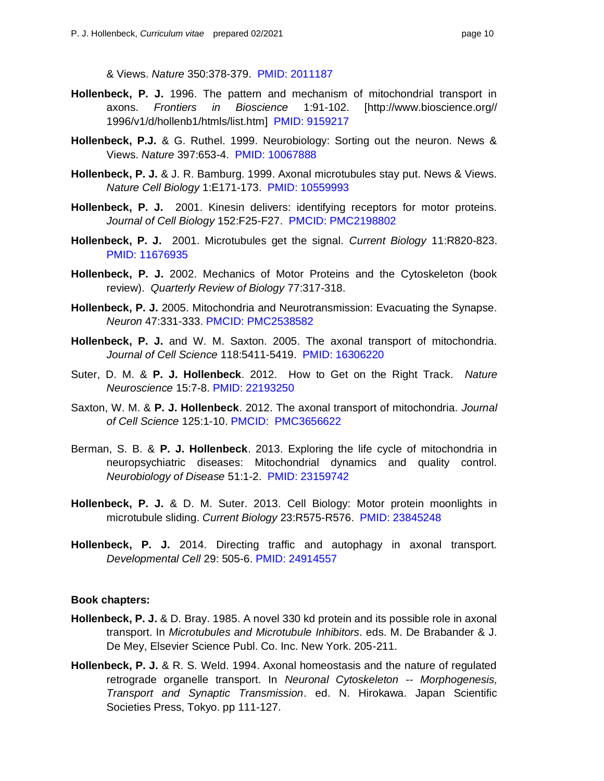& Views. *Nature* 350:378-379. PMID: 2011187

- **Hollenbeck, P. J.** 1996. The pattern and mechanism of mitochondrial transport in 1996/v1/d/hollenb1/htmls/list.htm] PMID: 9159217 axons. *Frontiers in Bioscience* 1:91-102. [<http://www.bioscience.org>//
- **Hollenbeck, P.J.** & G. Ruthel. 1999. Neurobiology: Sorting out the neuron. News & Views. *Nature* 397:653-4. PMID: 10067888
- **Hollenbeck, P. J.** & J. R. Bamburg. 1999. Axonal microtubules stay put. News & Views.  *Nature Cell Biology* 1:E171-173. PMID: 10559993
- **Hollenbeck, P. J.** 2001. Kinesin delivers: identifying receptors for motor proteins.  *Journal of Cell Biology* 152:F25-F27. PMCID: PMC2198802
- **Hollenbeck, P. J.** 2001. Microtubules get the signal. *Current Biology* 11:R820-823. PMID: 11676935
- **Hollenbeck, P. J.** 2002. Mechanics of Motor Proteins and the Cytoskeleton (book review). *Quarterly Review of Biology* 77:317-318.
- **Hollenbeck, P. J.** 2005. Mitochondria and Neurotransmission: Evacuating the Synapse. *Neuron* 47:331-333. PMCID: PMC2538582
- **Hollenbeck, P. J.** and W. M. Saxton. 2005. The axonal transport of mitochondria.  *Journal of Cell Science* 118:5411-5419. PMID: 16306220
- Suter, D. M. & **P. J. Hollenbeck**. 2012. How to Get on the Right Track. *Nature Neuroscience* 15:7-8. PMID: 22193250
- Saxton, W. M. & **P. J. Hollenbeck**. 2012. The axonal transport of mitochondria. *Journal of Cell Science* 125:1-10. PMCID: PMC3656622
- Berman, S. B. & **P. J. Hollenbeck**. 2013. Exploring the life cycle of mitochondria in neuropsychiatric diseases: Mitochondrial dynamics and quality control. *Neurobiology of Disease* 51:1-2. PMID: 23159742
- **Hollenbeck, P. J.** & D. M. Suter. 2013. Cell Biology: Motor protein moonlights in microtubule sliding. *Current Biology* 23:R575-R576. PMID: 23845248
- **Hollenbeck, P. J.** 2014. Directing traffic and autophagy in axonal transport. *Developmental Cell* 29: 505-6. PMID: 24914557

#### **Book chapters:**

- **Hollenbeck, P. J.** & D. Bray. 1985. A novel 330 kd protein and its possible role in axonal transport. In *Microtubules and Microtubule Inhibitors*. eds. M. De Brabander & J. De Mey, Elsevier Science Publ. Co. Inc. New York. 205-211.
- Hollenbeck, P. J. & R. S. Weld. 1994. Axonal homeostasis and the nature of regulated retrograde organelle transport. In *Neuronal Cytoskeleton -- Morphogenesis, Transport and Synaptic Transmission*. ed. N. Hirokawa. Japan Scientific Societies Press, Tokyo. pp 111-127.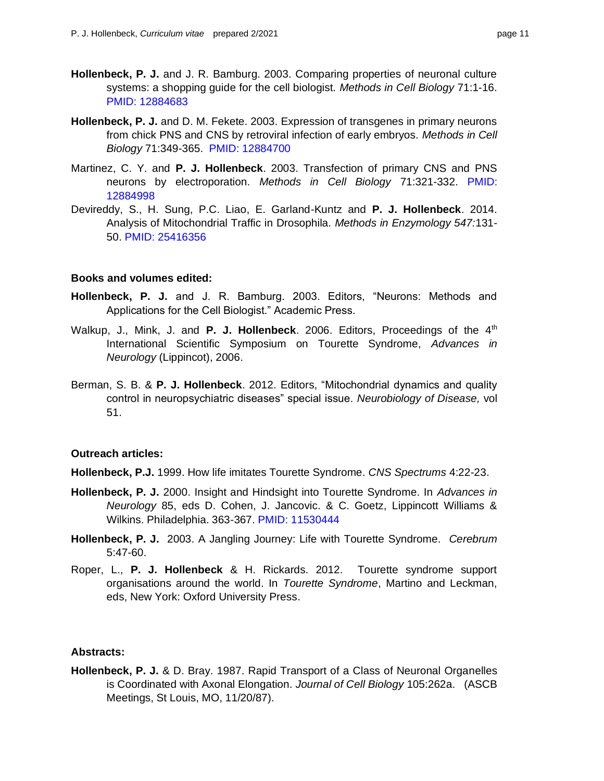- Hollenbeck, P. J. and J. R. Bamburg. 2003. Comparing properties of neuronal culture systems: a shopping guide for the cell biologist. *Methods in Cell Biology* 71:1-16. PMID: 12884683
- **Hollenbeck, P. J.** and D. M. Fekete. 2003. Expression of transgenes in primary neurons from chick PNS and CNS by retroviral infection of early embryos. *Methods in Cell Biology* 71:349-365. PMID: 12884700
- Martinez, C. Y. and **P. J. Hollenbeck**. 2003. Transfection of primary CNS and PNS  neurons by electroporation. *Methods in Cell Biology* 71:321-332. PMID: 12884998
- Devireddy, S., H. Sung, P.C. Liao, E. Garland-Kuntz and **P. J. Hollenbeck**. 2014. Analysis of Mitochondrial Traffic in Drosophila. *Methods in Enzymology 547:*131- 50. PMID: 25416356

#### **Books and volumes edited:**

- **Hollenbeck, P. J.** and J. R. Bamburg. 2003. Editors, "Neurons: Methods and Applications for the Cell Biologist." Academic Press.
- Walkup, J., Mink, J. and P. J. Hollenbeck. 2006. Editors, Proceedings of the 4<sup>th</sup> International Scientific Symposium on Tourette Syndrome, *Advances in Neurology* (Lippincot), 2006.
- Berman, S. B. & **P. J. Hollenbeck**. 2012. Editors, "Mitochondrial dynamics and quality control in neuropsychiatric diseases" special issue. *Neurobiology of Disease,* vol 51.

#### **Outreach articles:**

**Hollenbeck, P.J.** 1999. How life imitates Tourette Syndrome. *CNS Spectrums* 4:22-23.

- **Hollenbeck, P. J.** 2000. Insight and Hindsight into Tourette Syndrome. In *Advances in Neurology* 85, eds D. Cohen, J. Jancovic. & C. Goetz, Lippincott Williams & Wilkins. Philadelphia. 363-367. PMID: 11530444
- **Hollenbeck, P. J.** 2003. A Jangling Journey: Life with Tourette Syndrome. *Cerebrum*  5:47-60.
- Roper, L., **P. J. Hollenbeck** & H. Rickards. 2012. Tourette syndrome support organisations around the world. In *Tourette Syndrome*, Martino and Leckman, eds, New York: Oxford University Press.

#### **Abstracts:**

 **Hollenbeck, P. J.** & D. Bray. 1987. Rapid Transport of a Class of Neuronal Organelles is Coordinated with Axonal Elongation. *Journal of Cell Biology* 105:262a. (ASCB Meetings, St Louis, MO, 11/20/87).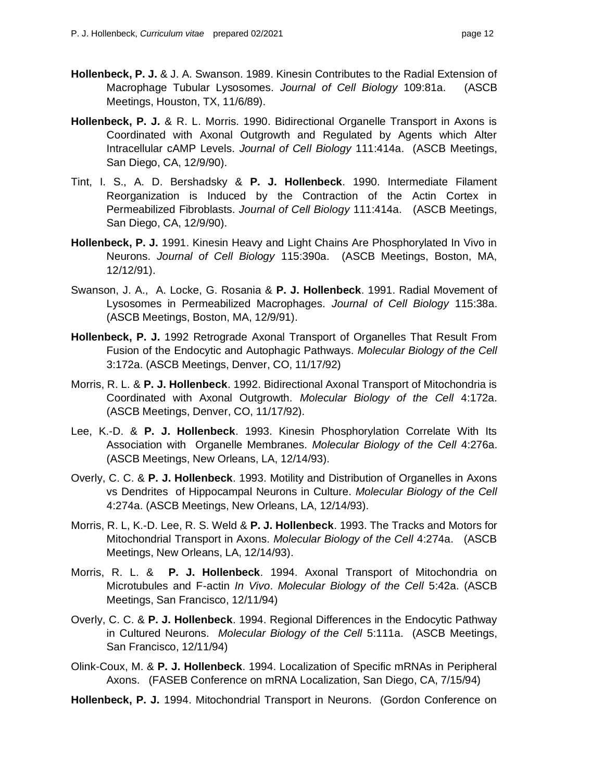- **Hollenbeck, P. J.** & J. A. Swanson. 1989. Kinesin Contributes to the Radial Extension of Macrophage Tubular Lysosomes. *Journal of Cell Biology* 109:81a. (ASCB Meetings, Houston, TX, 11/6/89).
- **Hollenbeck, P. J.** & R. L. Morris. 1990. Bidirectional Organelle Transport in Axons is Coordinated with Axonal Outgrowth and Regulated by Agents which Alter Intracellular cAMP Levels. *Journal of Cell Biology* 111:414a. (ASCB Meetings, San Diego, CA, 12/9/90).
- Tint, I. S., A. D. Bershadsky & **P. J. Hollenbeck**. 1990. Intermediate Filament Reorganization is Induced by the Contraction of the Actin Cortex in  Permeabilized Fibroblasts. *Journal of Cell Biology* 111:414a. (ASCB Meetings, San Diego, CA, 12/9/90).
- **Hollenbeck, P. J.** 1991. Kinesin Heavy and Light Chains Are Phosphorylated In Vivo in  Neurons. *Journal of Cell Biology* 115:390a. (ASCB Meetings, Boston, MA, 12/12/91).
- Swanson, J. A., A. Locke, G. Rosania & **P. J. Hollenbeck**. 1991. Radial Movement of  Lysosomes in Permeabilized Macrophages. *Journal of Cell Biology* 115:38a. (ASCB Meetings, Boston, MA, 12/9/91).
- **Hollenbeck, P. J.** 1992 Retrograde Axonal Transport of Organelles That Result From Fusion of the Endocytic and Autophagic Pathways. *Molecular Biology of the Cell*  3:172a. (ASCB Meetings, Denver, CO, 11/17/92)
- Morris, R. L. & **P. J. Hollenbeck**. 1992. Bidirectional Axonal Transport of Mitochondria is Coordinated with Axonal Outgrowth. *Molecular Biology of the Cell* 4:172a. (ASCB Meetings, Denver, CO, 11/17/92).
- Lee, K.-D. & **P. J. Hollenbeck**. 1993. Kinesin Phosphorylation Correlate With Its Association with Organelle Membranes. *Molecular Biology of the Cell* 4:276a. (ASCB Meetings, New Orleans, LA, 12/14/93).
- Overly, C. C. & **P. J. Hollenbeck**. 1993. Motility and Distribution of Organelles in Axons vs Dendrites of Hippocampal Neurons in Culture. *Molecular Biology of the Cell*  4:274a. (ASCB Meetings, New Orleans, LA, 12/14/93).
- Morris, R. L, K.-D. Lee, R. S. Weld & **P. J. Hollenbeck**. 1993. The Tracks and Motors for Mitochondrial Transport in Axons. *Molecular Biology of the Cell* 4:274a. (ASCB Meetings, New Orleans, LA, 12/14/93).
- Morris, R. L. & **P. J. Hollenbeck**. 1994. Axonal Transport of Mitochondria on  Microtubules and F-actin *In Vivo*. *Molecular Biology of the Cell* 5:42a. (ASCB Meetings, San Francisco, 12/11/94)
- Overly, C. C. & **P. J. Hollenbeck**. 1994. Regional Differences in the Endocytic Pathway in Cultured Neurons. *Molecular Biology of the Cell* 5:111a. (ASCB Meetings, San Francisco, 12/11/94)
- Olink-Coux, M. & **P. J. Hollenbeck**. 1994. Localization of Specific mRNAs in Peripheral Axons. (FASEB Conference on mRNA Localization, San Diego, CA, 7/15/94)
- **Hollenbeck, P. J.** 1994. Mitochondrial Transport in Neurons. (Gordon Conference on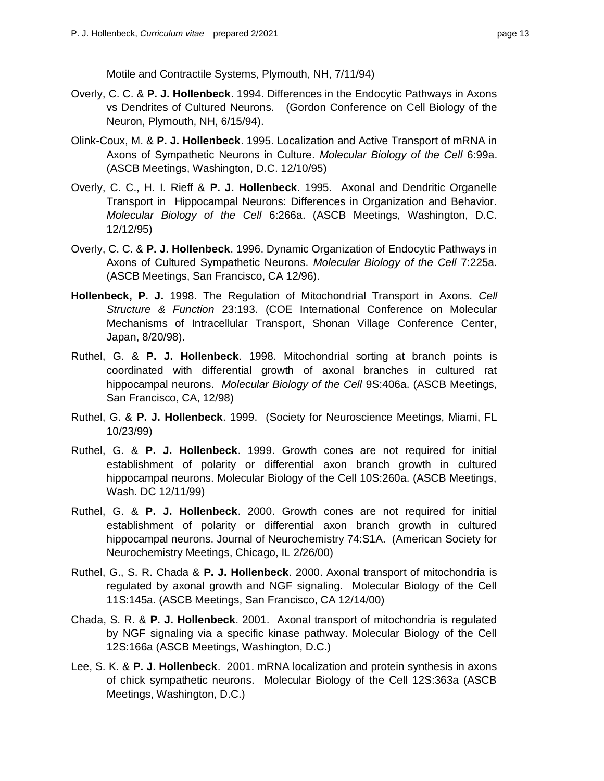Motile and Contractile Systems, Plymouth, NH, 7/11/94)

- Overly, C. C. & **P. J. Hollenbeck**. 1994. Differences in the Endocytic Pathways in Axons vs Dendrites of Cultured Neurons. (Gordon Conference on Cell Biology of the Neuron, Plymouth, NH, 6/15/94).
- Olink-Coux, M. & **P. J. Hollenbeck**. 1995. Localization and Active Transport of mRNA in Axons of Sympathetic Neurons in Culture. *Molecular Biology of the Cell* 6:99a. (ASCB Meetings, Washington, D.C. 12/10/95)
- Overly, C. C., H. I. Rieff & **P. J. Hollenbeck**. 1995. Axonal and Dendritic Organelle Transport in Hippocampal Neurons: Differences in Organization and Behavior.  *Molecular Biology of the Cell* 6:266a. (ASCB Meetings, Washington, D.C. 12/12/95)
- Overly, C. C. & **P. J. Hollenbeck**. 1996. Dynamic Organization of Endocytic Pathways in Axons of Cultured Sympathetic Neurons. *Molecular Biology of the Cell* 7:225a. (ASCB Meetings, San Francisco, CA 12/96).
- **Hollenbeck, P. J.** 1998. The Regulation of Mitochondrial Transport in Axons. *Cell Structure & Function* 23:193. (COE International Conference on Molecular Mechanisms of Intracellular Transport, Shonan Village Conference Center, Japan, 8/20/98).
- Ruthel, G. & **P. J. Hollenbeck**. 1998. Mitochondrial sorting at branch points is coordinated with differential growth of axonal branches in cultured rat hippocampal neurons. *Molecular Biology of the Cell* 9S:406a. (ASCB Meetings, San Francisco, CA, 12/98)
- Ruthel, G. & **P. J. Hollenbeck**. 1999. (Society for Neuroscience Meetings, Miami, FL 10/23/99)
- Ruthel, G. & **P. J. Hollenbeck**. 1999. Growth cones are not required for initial establishment of polarity or differential axon branch growth in cultured hippocampal neurons. Molecular Biology of the Cell 10S:260a. (ASCB Meetings, Wash. DC 12/11/99)
- Ruthel, G. & **P. J. Hollenbeck**. 2000. Growth cones are not required for initial establishment of polarity or differential axon branch growth in cultured hippocampal neurons. Journal of Neurochemistry 74:S1A. (American Society for Neurochemistry Meetings, Chicago, IL 2/26/00)
- Ruthel, G., S. R. Chada & **P. J. Hollenbeck**. 2000. Axonal transport of mitochondria is regulated by axonal growth and NGF signaling. Molecular Biology of the Cell 11S:145a. (ASCB Meetings, San Francisco, CA 12/14/00)
- Chada, S. R. & **P. J. Hollenbeck**. 2001. Axonal transport of mitochondria is regulated by NGF signaling via a specific kinase pathway. Molecular Biology of the Cell 12S:166a (ASCB Meetings, Washington, D.C.)
- Lee, S. K. & **P. J. Hollenbeck**. 2001. mRNA localization and protein synthesis in axons of chick sympathetic neurons. Molecular Biology of the Cell 12S:363a (ASCB Meetings, Washington, D.C.)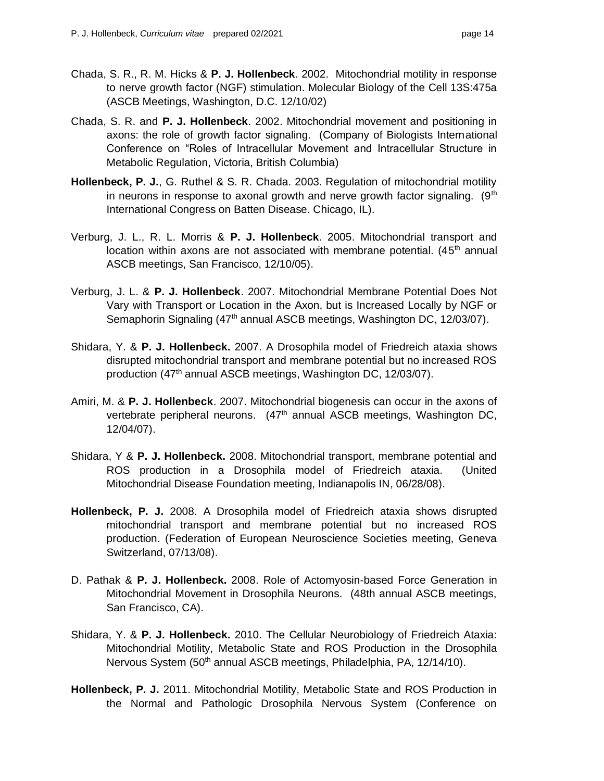- Chada, S. R., R. M. Hicks & **P. J. Hollenbeck**. 2002. Mitochondrial motility in response to nerve growth factor (NGF) stimulation. Molecular Biology of the Cell 13S:475a (ASCB Meetings, Washington, D.C. 12/10/02)
- Chada, S. R. and **P. J. Hollenbeck**. 2002. Mitochondrial movement and positioning in axons: the role of growth factor signaling. (Company of Biologists International Conference on "Roles of Intracellular Movement and Intracellular Structure in Metabolic Regulation, Victoria, British Columbia)
- **Hollenbeck, P. J.**, G. Ruthel & S. R. Chada. 2003. Regulation of mitochondrial motility in neurons in response to axonal growth and nerve growth factor signaling.  $(9<sup>th</sup>$ International Congress on Batten Disease. Chicago, IL).
- Verburg, J. L., R. L. Morris & **P. J. Hollenbeck**. 2005. Mitochondrial transport and location within axons are not associated with membrane potential.  $(45<sup>th</sup>$  annual ASCB meetings, San Francisco, 12/10/05).
- Verburg, J. L. & **P. J. Hollenbeck**. 2007. Mitochondrial Membrane Potential Does Not Vary with Transport or Location in the Axon, but is Increased Locally by NGF or Semaphorin Signaling (47<sup>th</sup> annual ASCB meetings, Washington DC, 12/03/07).
- Shidara, Y. & **P. J. Hollenbeck.** 2007. A Drosophila model of Friedreich ataxia shows disrupted mitochondrial transport and membrane potential but no increased ROS production (47<sup>th</sup> annual ASCB meetings, Washington DC, 12/03/07).
- Amiri, M. & **P. J. Hollenbeck**. 2007. Mitochondrial biogenesis can occur in the axons of vertebrate peripheral neurons. (47<sup>th</sup> annual ASCB meetings, Washington DC, 12/04/07).
- Shidara, Y & **P. J. Hollenbeck.** 2008. Mitochondrial transport, membrane potential and ROS production in a Drosophila model of Friedreich ataxia. (United Mitochondrial Disease Foundation meeting, Indianapolis IN, 06/28/08).
- **Hollenbeck, P. J.** 2008. A Drosophila model of Friedreich ataxia shows disrupted mitochondrial transport and membrane potential but no increased ROS production. (Federation of European Neuroscience Societies meeting, Geneva Switzerland, 07/13/08).
- D. Pathak & **P. J. Hollenbeck.** 2008. Role of Actomyosin-based Force Generation in Mitochondrial Movement in Drosophila Neurons. (48th annual ASCB meetings, San Francisco, CA).
- Shidara, Y. & **P. J. Hollenbeck.** 2010. The Cellular Neurobiology of Friedreich Ataxia: Mitochondrial Motility, Metabolic State and ROS Production in the Drosophila Nervous System (50<sup>th</sup> annual ASCB meetings, Philadelphia, PA, 12/14/10).
- **Hollenbeck, P. J.** 2011. Mitochondrial Motility, Metabolic State and ROS Production in the Normal and Pathologic Drosophila Nervous System (Conference on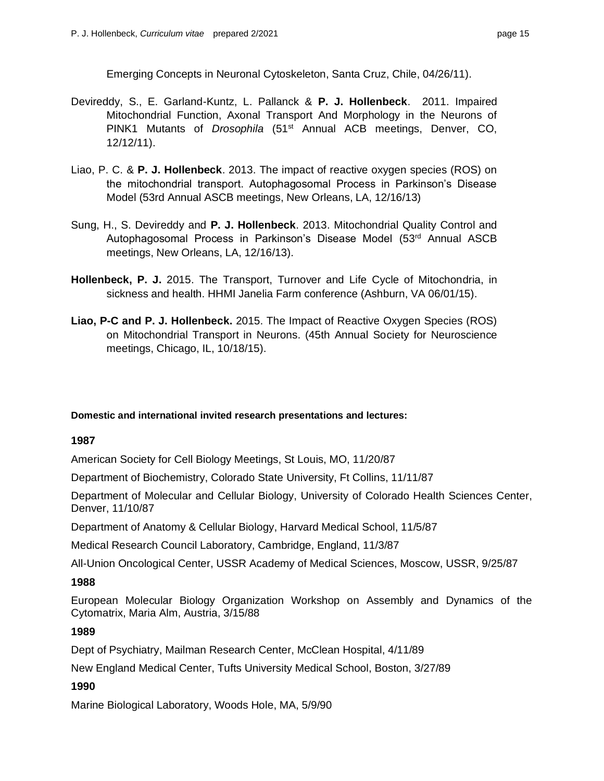Emerging Concepts in Neuronal Cytoskeleton, Santa Cruz, Chile, 04/26/11).

- Devireddy, S., E. Garland-Kuntz, L. Pallanck & **P. J. Hollenbeck**. 2011. Impaired Mitochondrial Function, Axonal Transport And Morphology in the Neurons of PINK1 Mutants of *Drosophila* (51st Annual ACB meetings, Denver, CO, 12/12/11).
- Liao, P. C. & **P. J. Hollenbeck**. 2013. The impact of reactive oxygen species (ROS) on the mitochondrial transport. Autophagosomal Process in Parkinson's Disease Model (53rd Annual ASCB meetings, New Orleans, LA, 12/16/13)
- Sung, H., S. Devireddy and **P. J. Hollenbeck**. 2013. Mitochondrial Quality Control and Autophagosomal Process in Parkinson's Disease Model (53<sup>rd</sup> Annual ASCB meetings, New Orleans, LA, 12/16/13).
- **Hollenbeck, P. J.** 2015. The Transport, Turnover and Life Cycle of Mitochondria, in sickness and health. HHMI Janelia Farm conference (Ashburn, VA 06/01/15).
- **Liao, P-C and P. J. Hollenbeck.** 2015. The Impact of Reactive Oxygen Species (ROS) on Mitochondrial Transport in Neurons. (45th Annual Society for Neuroscience meetings, Chicago, IL, 10/18/15).

#### **Domestic and international invited research presentations and lectures:**

#### **1987**

American Society for Cell Biology Meetings, St Louis, MO, 11/20/87

Department of Biochemistry, Colorado State University, Ft Collins, 11/11/87

 Department of Molecular and Cellular Biology, University of Colorado Health Sciences Center, Denver, 11/10/87

Department of Anatomy & Cellular Biology, Harvard Medical School, 11/5/87

Medical Research Council Laboratory, Cambridge, England, 11/3/87

All-Union Oncological Center, USSR Academy of Medical Sciences, Moscow, USSR, 9/25/87

#### **1988**

 European Molecular Biology Organization Workshop on Assembly and Dynamics of the Cytomatrix, Maria Alm, Austria, 3/15/88

## **1989**

Dept of Psychiatry, Mailman Research Center, McClean Hospital, 4/11/89

New England Medical Center, Tufts University Medical School, Boston, 3/27/89

#### **1990**

Marine Biological Laboratory, Woods Hole, MA, 5/9/90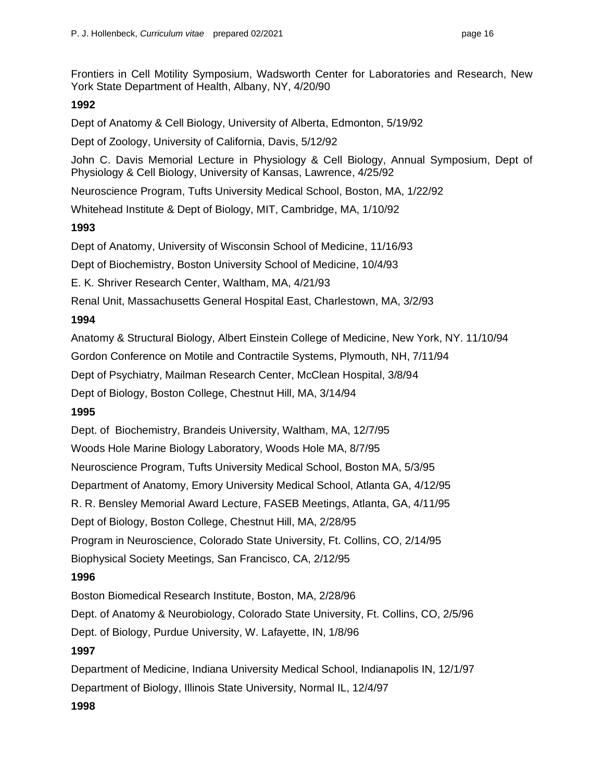Frontiers in Cell Motility Symposium, Wadsworth Center for Laboratories and Research, New York State Department of Health, Albany, NY, 4/20/90

## **1992**

Dept of Anatomy & Cell Biology, University of Alberta, Edmonton, 5/19/92

Dept of Zoology, University of California, Davis, 5/12/92

 John C. Davis Memorial Lecture in Physiology & Cell Biology, Annual Symposium, Dept of Physiology & Cell Biology, University of Kansas, Lawrence, 4/25/92

Neuroscience Program, Tufts University Medical School, Boston, MA, 1/22/92

Whitehead Institute & Dept of Biology, MIT, Cambridge, MA, 1/10/92

## **1993**

Dept of Anatomy, University of Wisconsin School of Medicine, 11/16/93

Dept of Biochemistry, Boston University School of Medicine, 10/4/93

E. K. Shriver Research Center, Waltham, MA, 4/21/93

Renal Unit, Massachusetts General Hospital East, Charlestown, MA, 3/2/93

## **1994**

Anatomy & Structural Biology, Albert Einstein College of Medicine, New York, NY. 11/10/94

Gordon Conference on Motile and Contractile Systems, Plymouth, NH, 7/11/94

Dept of Psychiatry, Mailman Research Center, McClean Hospital, 3/8/94

Dept of Biology, Boston College, Chestnut Hill, MA, 3/14/94

## **1995**

Dept. of Biochemistry, Brandeis University, Waltham, MA, 12/7/95

Woods Hole Marine Biology Laboratory, Woods Hole MA, 8/7/95

Neuroscience Program, Tufts University Medical School, Boston MA, 5/3/95

Department of Anatomy, Emory University Medical School, Atlanta GA, 4/12/95

R. R. Bensley Memorial Award Lecture, FASEB Meetings, Atlanta, GA, 4/11/95

Dept of Biology, Boston College, Chestnut Hill, MA, 2/28/95

Program in Neuroscience, Colorado State University, Ft. Collins, CO, 2/14/95

Biophysical Society Meetings, San Francisco, CA, 2/12/95

## **1996**

Boston Biomedical Research Institute, Boston, MA, 2/28/96

Dept. of Anatomy & Neurobiology, Colorado State University, Ft. Collins, CO, 2/5/96

Dept. of Biology, Purdue University, W. Lafayette, IN, 1/8/96

## **1997**

 Department of Medicine, Indiana University Medical School, Indianapolis IN, 12/1/97 Department of Biology, Illinois State University, Normal IL, 12/4/97

## **1998**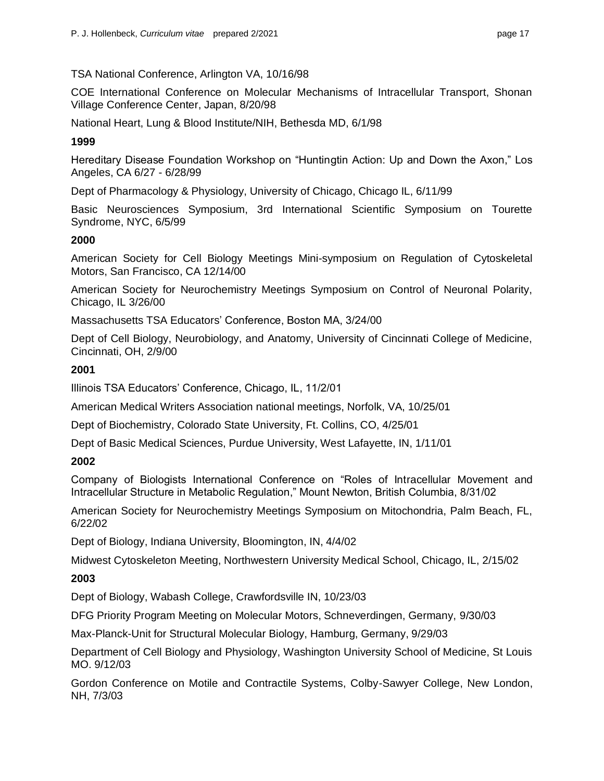### TSA National Conference, Arlington VA, 10/16/98

 COE International Conference on Molecular Mechanisms of Intracellular Transport, Shonan Village Conference Center, Japan, 8/20/98

National Heart, Lung & Blood Institute/NIH, Bethesda MD, 6/1/98

## **1999**

 Hereditary Disease Foundation Workshop on "Huntingtin Action: Up and Down the Axon," Los Angeles, CA 6/27 - 6/28/99

Dept of Pharmacology & Physiology, University of Chicago, Chicago IL, 6/11/99

 Basic Neurosciences Symposium, 3rd International Scientific Symposium on Tourette Syndrome, NYC, 6/5/99

### **2000**

 American Society for Cell Biology Meetings Mini-symposium on Regulation of Cytoskeletal Motors, San Francisco, CA 12/14/00

 American Society for Neurochemistry Meetings Symposium on Control of Neuronal Polarity, Chicago, IL 3/26/00

Massachusetts TSA Educators' Conference, Boston MA, 3/24/00

 Dept of Cell Biology, Neurobiology, and Anatomy, University of Cincinnati College of Medicine, Cincinnati, OH, 2/9/00

### **2001**

Illinois TSA Educators' Conference, Chicago, IL, 11/2/01

American Medical Writers Association national meetings, Norfolk, VA, 10/25/01

Dept of Biochemistry, Colorado State University, Ft. Collins, CO, 4/25/01

Dept of Basic Medical Sciences, Purdue University, West Lafayette, IN, 1/11/01

## **2002**

 Company of Biologists International Conference on "Roles of Intracellular Movement and Intracellular Structure in Metabolic Regulation," Mount Newton, British Columbia, 8/31/02

 American Society for Neurochemistry Meetings Symposium on Mitochondria, Palm Beach, FL, 6/22/02

Dept of Biology, Indiana University, Bloomington, IN, 4/4/02

Midwest Cytoskeleton Meeting, Northwestern University Medical School, Chicago, IL, 2/15/02

## **2003**

Dept of Biology, Wabash College, Crawfordsville IN, 10/23/03

DFG Priority Program Meeting on Molecular Motors, Schneverdingen, Germany, 9/30/03

Max-Planck-Unit for Structural Molecular Biology, Hamburg, Germany, 9/29/03

 Department of Cell Biology and Physiology, Washington University School of Medicine, St Louis MO. 9/12/03

 Gordon Conference on Motile and Contractile Systems, Colby-Sawyer College, New London, NH, 7/3/03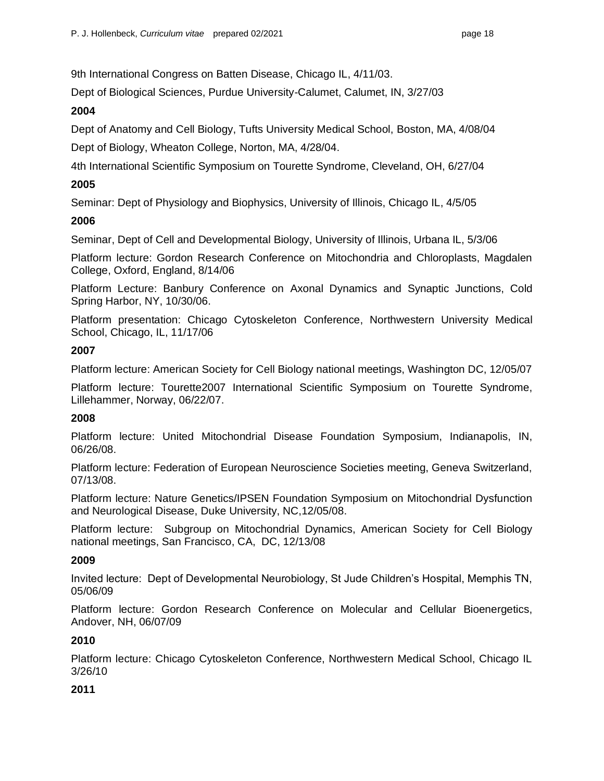9th International Congress on Batten Disease, Chicago IL, 4/11/03.

Dept of Biological Sciences, Purdue University-Calumet, Calumet, IN, 3/27/03

## **2004**

Dept of Anatomy and Cell Biology, Tufts University Medical School, Boston, MA, 4/08/04

Dept of Biology, Wheaton College, Norton, MA, 4/28/04.

4th International Scientific Symposium on Tourette Syndrome, Cleveland, OH, 6/27/04

## **2005**

Seminar: Dept of Physiology and Biophysics, University of Illinois, Chicago IL, 4/5/05

## **2006**

Seminar, Dept of Cell and Developmental Biology, University of Illinois, Urbana IL, 5/3/06

 Platform lecture: Gordon Research Conference on Mitochondria and Chloroplasts, Magdalen College, Oxford, England, 8/14/06

 Platform Lecture: Banbury Conference on Axonal Dynamics and Synaptic Junctions, Cold Spring Harbor, NY, 10/30/06.

 Platform presentation: Chicago Cytoskeleton Conference, Northwestern University Medical School, Chicago, IL, 11/17/06

## **2007**

Platform lecture: American Society for Cell Biology national meetings, Washington DC, 12/05/07

 Platform lecture: Tourette2007 International Scientific Symposium on Tourette Syndrome, Lillehammer, Norway, 06/22/07.

## **2008**

 Platform lecture: United Mitochondrial Disease Foundation Symposium, Indianapolis, IN, 06/26/08.

 Platform lecture: Federation of European Neuroscience Societies meeting, Geneva Switzerland, 07/13/08.

 Platform lecture: Nature Genetics/IPSEN Foundation Symposium on Mitochondrial Dysfunction and Neurological Disease, Duke University, NC,12/05/08.

 Platform lecture: Subgroup on Mitochondrial Dynamics, American Society for Cell Biology national meetings, San Francisco, CA, DC, 12/13/08

## **2009**

 Invited lecture: Dept of Developmental Neurobiology, St Jude Children's Hospital, Memphis TN, 05/06/09

 Platform lecture: Gordon Research Conference on Molecular and Cellular Bioenergetics, Andover, NH, 06/07/09

## **2010**

 Platform lecture: Chicago Cytoskeleton Conference, Northwestern Medical School, Chicago IL 3/26/10

## **2011**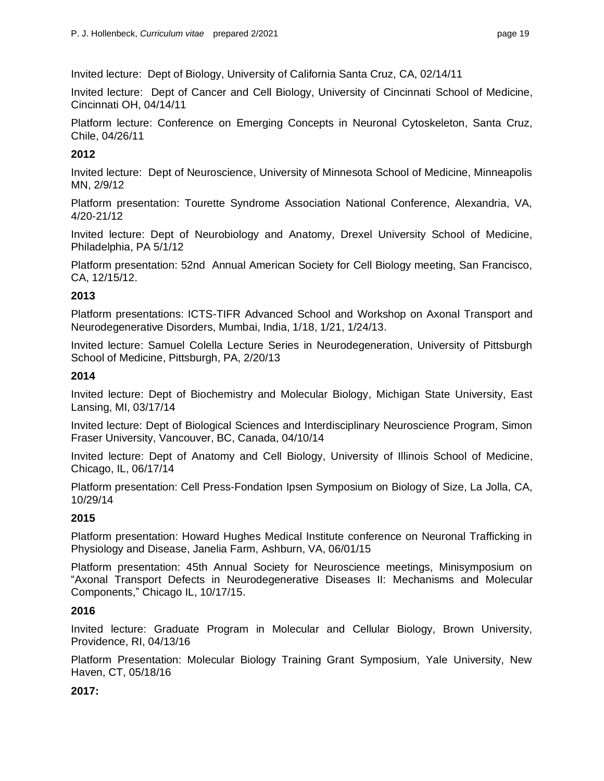Invited lecture: Dept of Biology, University of California Santa Cruz, CA, 02/14/11

 Invited lecture: Dept of Cancer and Cell Biology, University of Cincinnati School of Medicine, Cincinnati OH, 04/14/11

 Platform lecture: Conference on Emerging Concepts in Neuronal Cytoskeleton, Santa Cruz, Chile, 04/26/11

## **2012**

 Invited lecture: Dept of Neuroscience, University of Minnesota School of Medicine, Minneapolis MN, 2/9/12

 Platform presentation: Tourette Syndrome Association National Conference, Alexandria, VA, 4/20-21/12

 Invited lecture: Dept of Neurobiology and Anatomy, Drexel University School of Medicine, Philadelphia, PA 5/1/12

 Platform presentation: 52nd Annual American Society for Cell Biology meeting, San Francisco, CA, 12/15/12.

## **2013**

 Platform presentations: ICTS-TIFR Advanced School and Workshop on Axonal Transport and Neurodegenerative Disorders, Mumbai, India, 1/18, 1/21, 1/24/13.

 Invited lecture: Samuel Colella Lecture Series in Neurodegeneration, University of Pittsburgh School of Medicine, Pittsburgh, PA, 2/20/13

## **2014**

 Invited lecture: Dept of Biochemistry and Molecular Biology, Michigan State University, East Lansing, MI, 03/17/14

 Invited lecture: Dept of Biological Sciences and Interdisciplinary Neuroscience Program, Simon Fraser University, Vancouver, BC, Canada, 04/10/14

 Invited lecture: Dept of Anatomy and Cell Biology, University of Illinois School of Medicine, Chicago, IL, 06/17/14

 Platform presentation: Cell Press-Fondation Ipsen Symposium on Biology of Size, La Jolla, CA, 10/29/14

## **2015**

 Platform presentation: Howard Hughes Medical Institute conference on Neuronal Trafficking in Physiology and Disease, Janelia Farm, Ashburn, VA, 06/01/15

 Platform presentation: 45th Annual Society for Neuroscience meetings, Minisymposium on Components," Chicago IL, 10/17/15. "Axonal Transport Defects in Neurodegenerative Diseases II: Mechanisms and Molecular

## **2016**

 Invited lecture: Graduate Program in Molecular and Cellular Biology, Brown University, Providence, RI, 04/13/16

 Platform Presentation: Molecular Biology Training Grant Symposium, Yale University, New Haven, CT, 05/18/16

## **2017:**